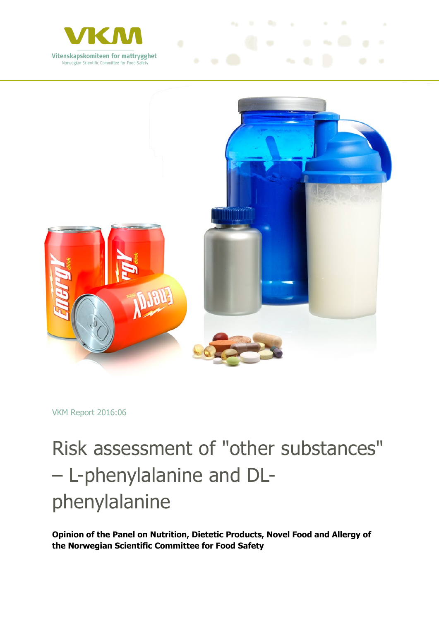



VKM Report 2016:06

## Risk assessment of "other substances" – L-phenylalanine and DLphenylalanine

**Opinion of the Panel on Nutrition, Dietetic Products, Novel Food and Allergy of the Norwegian Scientific Committee for Food Safety**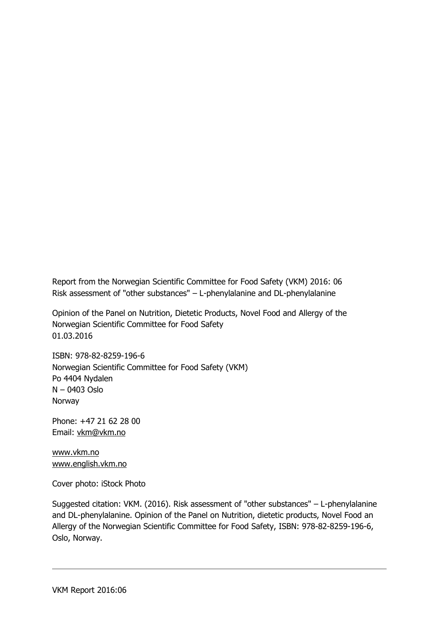Report from the Norwegian Scientific Committee for Food Safety (VKM) 2016: 06 Risk assessment of "other substances" – L-phenylalanine and DL-phenylalanine

Opinion of the Panel on Nutrition, Dietetic Products, Novel Food and Allergy of the Norwegian Scientific Committee for Food Safety 01.03.2016

ISBN: 978-82-8259-196-6 Norwegian Scientific Committee for Food Safety (VKM) Po 4404 Nydalen N – 0403 Oslo Norway

Phone: +47 21 62 28 00 Email: [vkm@vkm.no](mailto:vkm@vkm.no)

[www.vkm.no](http://www.vkm.no/) [www.english.vkm.no](http://www.english.vkm.no/)

Cover photo: iStock Photo

Suggested citation: VKM. (2016). Risk assessment of "other substances" – L-phenylalanine and DL-phenylalanine. Opinion of the Panel on Nutrition, dietetic products, Novel Food an Allergy of the Norwegian Scientific Committee for Food Safety, ISBN: 978-82-8259-196-6, Oslo, Norway.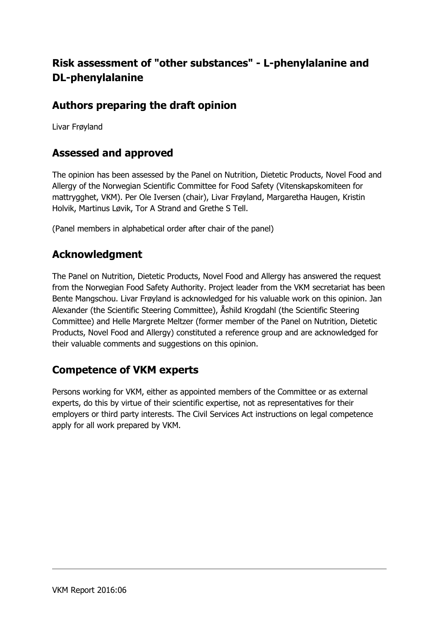### **Risk assessment of "other substances" - L-phenylalanine and DL-phenylalanine**

### **Authors preparing the draft opinion**

Livar Frøyland

### **Assessed and approved**

The opinion has been assessed by the Panel on Nutrition, Dietetic Products, Novel Food and Allergy of the Norwegian Scientific Committee for Food Safety (Vitenskapskomiteen for mattrygghet, VKM). Per Ole Iversen (chair), Livar Frøyland, Margaretha Haugen, Kristin Holvik, Martinus Løvik, Tor A Strand and Grethe S Tell.

(Panel members in alphabetical order after chair of the panel)

### **Acknowledgment**

The Panel on Nutrition, Dietetic Products, Novel Food and Allergy has answered the request from the Norwegian Food Safety Authority. Project leader from the VKM secretariat has been Bente Mangschou. Livar Frøyland is acknowledged for his valuable work on this opinion. Jan Alexander (the Scientific Steering Committee), Åshild Krogdahl (the Scientific Steering Committee) and Helle Margrete Meltzer (former member of the Panel on Nutrition, Dietetic Products, Novel Food and Allergy) constituted a reference group and are acknowledged for their valuable comments and suggestions on this opinion.

### **Competence of VKM experts**

Persons working for VKM, either as appointed members of the Committee or as external experts, do this by virtue of their scientific expertise, not as representatives for their employers or third party interests. The Civil Services Act instructions on legal competence apply for all work prepared by VKM.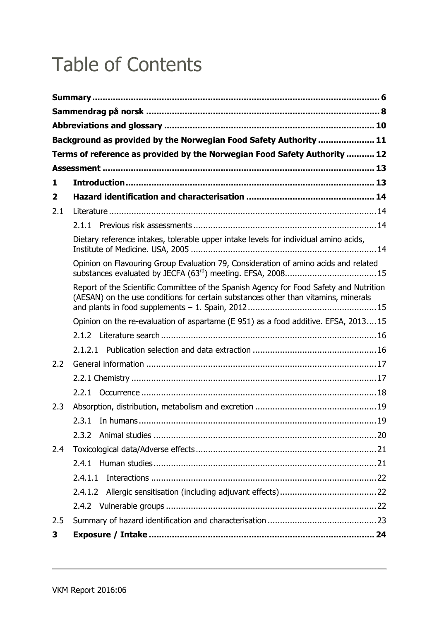## Table of Contents

|              | Background as provided by the Norwegian Food Safety Authority  11                                                                                                            |  |
|--------------|------------------------------------------------------------------------------------------------------------------------------------------------------------------------------|--|
|              | Terms of reference as provided by the Norwegian Food Safety Authority  12                                                                                                    |  |
|              |                                                                                                                                                                              |  |
| 1            |                                                                                                                                                                              |  |
| $\mathbf{2}$ |                                                                                                                                                                              |  |
| 2.1          |                                                                                                                                                                              |  |
|              |                                                                                                                                                                              |  |
|              | Dietary reference intakes, tolerable upper intake levels for individual amino acids,                                                                                         |  |
|              | Opinion on Flavouring Group Evaluation 79, Consideration of amino acids and related                                                                                          |  |
|              | Report of the Scientific Committee of the Spanish Agency for Food Safety and Nutrition<br>(AESAN) on the use conditions for certain substances other than vitamins, minerals |  |
|              | Opinion on the re-evaluation of aspartame (E 951) as a food additive. EFSA, 201315                                                                                           |  |
|              |                                                                                                                                                                              |  |
|              |                                                                                                                                                                              |  |
| 2.2          |                                                                                                                                                                              |  |
|              |                                                                                                                                                                              |  |
|              |                                                                                                                                                                              |  |
| 2.3          |                                                                                                                                                                              |  |
|              |                                                                                                                                                                              |  |
|              | 2.3.2                                                                                                                                                                        |  |
| 2.4          |                                                                                                                                                                              |  |
|              |                                                                                                                                                                              |  |
|              | 2.4.1.1                                                                                                                                                                      |  |
|              |                                                                                                                                                                              |  |
|              |                                                                                                                                                                              |  |
| 2.5          |                                                                                                                                                                              |  |
| 3            |                                                                                                                                                                              |  |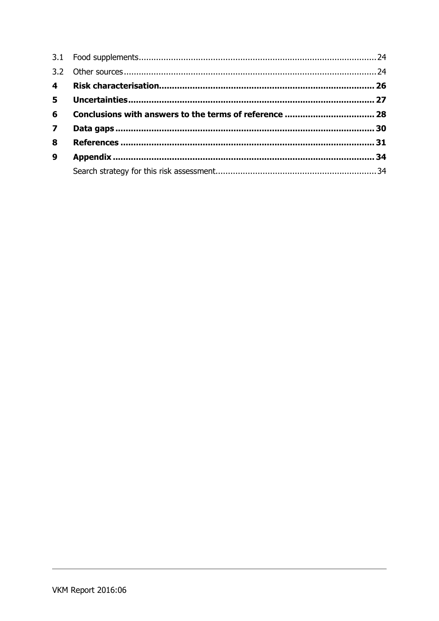| $5 -$            |  |
|------------------|--|
| 6                |  |
| $\overline{7}$   |  |
| 8                |  |
| $\boldsymbol{9}$ |  |
|                  |  |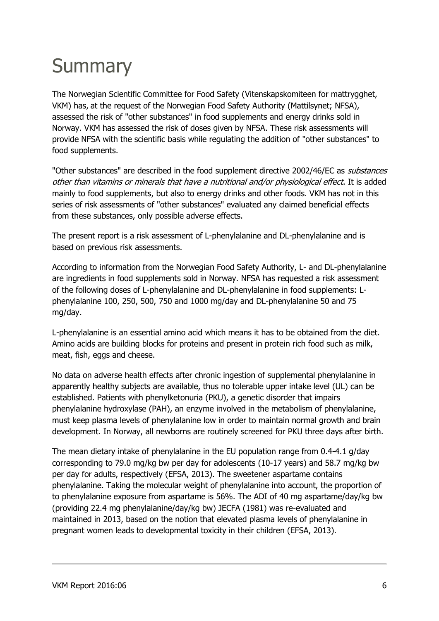## <span id="page-5-0"></span>**Summary**

The Norwegian Scientific Committee for Food Safety (Vitenskapskomiteen for mattrygghet, VKM) has, at the request of the Norwegian Food Safety Authority (Mattilsynet; NFSA), assessed the risk of "other substances" in food supplements and energy drinks sold in Norway. VKM has assessed the risk of doses given by NFSA. These risk assessments will provide NFSA with the scientific basis while regulating the addition of "other substances" to food supplements.

"Other substances" are described in the food supplement directive 2002/46/EC as *substances* other than vitamins or minerals that have a nutritional and/or physiological effect. It is added mainly to food supplements, but also to energy drinks and other foods. VKM has not in this series of risk assessments of "other substances" evaluated any claimed beneficial effects from these substances, only possible adverse effects.

The present report is a risk assessment of L-phenylalanine and DL-phenylalanine and is based on previous risk assessments.

According to information from the Norwegian Food Safety Authority, L- and DL-phenylalanine are ingredients in food supplements sold in Norway. NFSA has requested a risk assessment of the following doses of L-phenylalanine and DL-phenylalanine in food supplements: Lphenylalanine 100, 250, 500, 750 and 1000 mg/day and DL-phenylalanine 50 and 75 mg/day.

L-phenylalanine is an essential amino acid which means it has to be obtained from the diet. Amino acids are building blocks for proteins and present in protein rich food such as milk, meat, fish, eggs and cheese.

No data on adverse health effects after chronic ingestion of supplemental phenylalanine in apparently healthy subjects are available, thus no tolerable upper intake level (UL) can be established. Patients with phenylketonuria (PKU), a genetic disorder that impairs phenylalanine hydroxylase (PAH), an enzyme involved in the metabolism of phenylalanine, must keep plasma levels of phenylalanine low in order to maintain normal growth and brain development. In Norway, all newborns are routinely screened for PKU three days after birth.

The mean dietary intake of phenylalanine in the EU population range from 0.4-4.1 g/day corresponding to 79.0 mg/kg bw per day for adolescents (10-17 years) and 58.7 mg/kg bw per day for adults, respectively (EFSA, 2013). The sweetener aspartame contains phenylalanine. Taking the molecular weight of phenylalanine into account, the proportion of to phenylalanine exposure from aspartame is 56%. The ADI of 40 mg aspartame/day/kg bw (providing 22.4 mg phenylalanine/day/kg bw) JECFA (1981) was re-evaluated and maintained in 2013, based on the notion that elevated plasma levels of phenylalanine in pregnant women leads to developmental toxicity in their children (EFSA, 2013).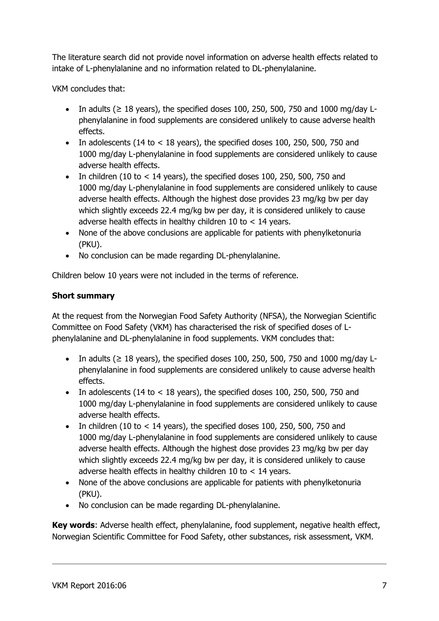The literature search did not provide novel information on adverse health effects related to intake of L-phenylalanine and no information related to DL-phenylalanine.

VKM concludes that:

- In adults ( $\geq$  18 years), the specified doses 100, 250, 500, 750 and 1000 mg/day Lphenylalanine in food supplements are considered unlikely to cause adverse health effects.
- In adolescents (14 to  $<$  18 years), the specified doses 100, 250, 500, 750 and 1000 mg/day L-phenylalanine in food supplements are considered unlikely to cause adverse health effects.
- In children (10 to  $<$  14 years), the specified doses 100, 250, 500, 750 and 1000 mg/day L-phenylalanine in food supplements are considered unlikely to cause adverse health effects. Although the highest dose provides 23 mg/kg bw per day which slightly exceeds 22.4 mg/kg bw per day, it is considered unlikely to cause adverse health effects in healthy children 10 to < 14 years.
- None of the above conclusions are applicable for patients with phenylketonuria (PKU).
- No conclusion can be made regarding DL-phenylalanine.

Children below 10 years were not included in the terms of reference.

#### **Short summary**

At the request from the Norwegian Food Safety Authority (NFSA), the Norwegian Scientific Committee on Food Safety (VKM) has characterised the risk of specified doses of Lphenylalanine and DL-phenylalanine in food supplements. VKM concludes that:

- In adults ( $\geq$  18 years), the specified doses 100, 250, 500, 750 and 1000 mg/day Lphenylalanine in food supplements are considered unlikely to cause adverse health effects.
- In adolescents (14 to  $<$  18 years), the specified doses 100, 250, 500, 750 and 1000 mg/day L-phenylalanine in food supplements are considered unlikely to cause adverse health effects.
- In children (10 to  $<$  14 years), the specified doses 100, 250, 500, 750 and 1000 mg/day L-phenylalanine in food supplements are considered unlikely to cause adverse health effects. Although the highest dose provides 23 mg/kg bw per day which slightly exceeds 22.4 mg/kg bw per day, it is considered unlikely to cause adverse health effects in healthy children 10 to < 14 years.
- None of the above conclusions are applicable for patients with phenylketonuria (PKU).
- No conclusion can be made regarding DL-phenylalanine.

**Key words**: Adverse health effect, phenylalanine, food supplement, negative health effect, Norwegian Scientific Committee for Food Safety, other substances, risk assessment, VKM.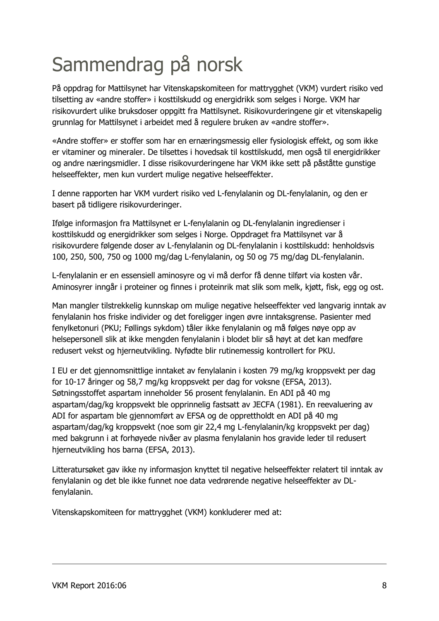# <span id="page-7-0"></span>Sammendrag på norsk

På oppdrag for Mattilsynet har Vitenskapskomiteen for mattrygghet (VKM) vurdert risiko ved tilsetting av «andre stoffer» i kosttilskudd og energidrikk som selges i Norge. VKM har risikovurdert ulike bruksdoser oppgitt fra Mattilsynet. Risikovurderingene gir et vitenskapelig grunnlag for Mattilsynet i arbeidet med å regulere bruken av «andre stoffer».

«Andre stoffer» er stoffer som har en ernæringsmessig eller fysiologisk effekt, og som ikke er vitaminer og mineraler. De tilsettes i hovedsak til kosttilskudd, men også til energidrikker og andre næringsmidler. I disse risikovurderingene har VKM ikke sett på påståtte gunstige helseeffekter, men kun vurdert mulige negative helseeffekter.

I denne rapporten har VKM vurdert risiko ved L-fenylalanin og DL-fenylalanin, og den er basert på tidligere risikovurderinger.

Ifølge informasjon fra Mattilsynet er L-fenylalanin og DL-fenylalanin ingredienser i kosttilskudd og energidrikker som selges i Norge. Oppdraget fra Mattilsynet var å risikovurdere følgende doser av L-fenylalanin og DL-fenylalanin i kosttilskudd: henholdsvis 100, 250, 500, 750 og 1000 mg/dag L-fenylalanin, og 50 og 75 mg/dag DL-fenylalanin.

L-fenylalanin er en essensiell aminosyre og vi må derfor få denne tilført via kosten vår. Aminosyrer inngår i proteiner og finnes i proteinrik mat slik som melk, kjøtt, fisk, egg og ost.

Man mangler tilstrekkelig kunnskap om mulige negative helseeffekter ved langvarig inntak av fenylalanin hos friske individer og det foreligger ingen øvre inntaksgrense. Pasienter med fenylketonuri (PKU; Føllings sykdom) tåler ikke fenylalanin og må følges nøye opp av helsepersonell slik at ikke mengden fenylalanin i blodet blir så høyt at det kan medføre redusert vekst og hjerneutvikling. Nyfødte blir rutinemessig kontrollert for PKU.

I EU er det gjennomsnittlige inntaket av fenylalanin i kosten 79 mg/kg kroppsvekt per dag for 10-17 åringer og 58,7 mg/kg kroppsvekt per dag for voksne (EFSA, 2013). Søtningsstoffet aspartam inneholder 56 prosent fenylalanin. En ADI på 40 mg aspartam/dag/kg kroppsvekt ble opprinnelig fastsatt av JECFA (1981). En reevaluering av ADI for aspartam ble gjennomført av EFSA og de opprettholdt en ADI på 40 mg aspartam/dag/kg kroppsvekt (noe som gir 22,4 mg L-fenylalanin/kg kroppsvekt per dag) med bakgrunn i at forhøyede nivåer av plasma fenylalanin hos gravide leder til redusert hjerneutvikling hos barna (EFSA, 2013).

Litteratursøket gav ikke ny informasjon knyttet til negative helseeffekter relatert til inntak av fenylalanin og det ble ikke funnet noe data vedrørende negative helseeffekter av DLfenylalanin.

Vitenskapskomiteen for mattrygghet (VKM) konkluderer med at: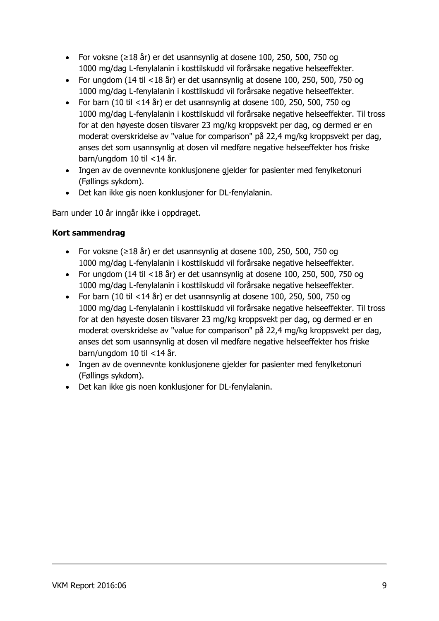- For voksne (≥18 år) er det usannsynlig at dosene 100, 250, 500, 750 og 1000 mg/dag L-fenylalanin i kosttilskudd vil forårsake negative helseeffekter.
- For ungdom (14 til <18 år) er det usannsynlig at dosene 100, 250, 500, 750 og 1000 mg/dag L-fenylalanin i kosttilskudd vil forårsake negative helseeffekter.
- For barn (10 til  $\langle 14 \text{ år} \rangle$  er det usannsynlig at dosene 100, 250, 500, 750 og 1000 mg/dag L-fenylalanin i kosttilskudd vil forårsake negative helseeffekter. Til tross for at den høyeste dosen tilsvarer 23 mg/kg kroppsvekt per dag, og dermed er en moderat overskridelse av "value for comparison" på 22,4 mg/kg kroppsvekt per dag, anses det som usannsynlig at dosen vil medføre negative helseeffekter hos friske barn/ungdom 10 til <14 år.
- Ingen av de ovennevnte konklusjonene gjelder for pasienter med fenylketonuri (Føllings sykdom).
- Det kan ikke gis noen konklusjoner for DL-fenylalanin.

Barn under 10 år inngår ikke i oppdraget.

#### **Kort sammendrag**

- For voksne (≥18 år) er det usannsynlig at dosene 100, 250, 500, 750 og 1000 mg/dag L-fenylalanin i kosttilskudd vil forårsake negative helseeffekter.
- For ungdom (14 til <18 år) er det usannsynlig at dosene 100, 250, 500, 750 og 1000 mg/dag L-fenylalanin i kosttilskudd vil forårsake negative helseeffekter.
- For barn (10 til <14 år) er det usannsynlig at dosene 100, 250, 500, 750 og 1000 mg/dag L-fenylalanin i kosttilskudd vil forårsake negative helseeffekter. Til tross for at den høyeste dosen tilsvarer 23 mg/kg kroppsvekt per dag, og dermed er en moderat overskridelse av "value for comparison" på 22,4 mg/kg kroppsvekt per dag, anses det som usannsynlig at dosen vil medføre negative helseeffekter hos friske barn/ungdom 10 til <14 år.
- Ingen av de ovennevnte konklusjonene gjelder for pasienter med fenylketonuri (Føllings sykdom).
- Det kan ikke gis noen konklusjoner for DL-fenylalanin.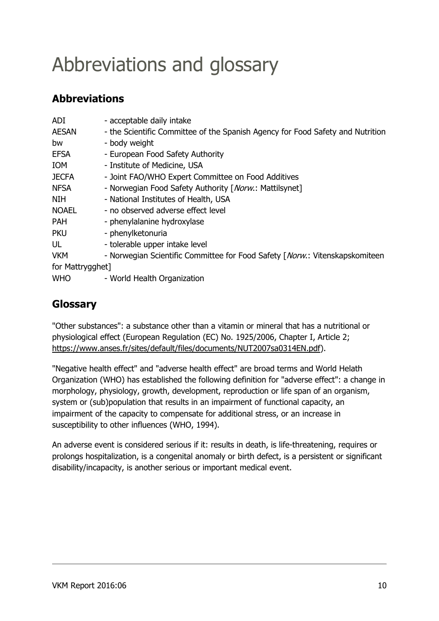## <span id="page-9-0"></span>Abbreviations and glossary

### **Abbreviations**

| <b>ADI</b>       | - acceptable daily intake                                                      |
|------------------|--------------------------------------------------------------------------------|
| <b>AESAN</b>     | - the Scientific Committee of the Spanish Agency for Food Safety and Nutrition |
| bw               | - body weight                                                                  |
| <b>EFSA</b>      | - European Food Safety Authority                                               |
| <b>IOM</b>       | - Institute of Medicine, USA                                                   |
| <b>JECFA</b>     | - Joint FAO/WHO Expert Committee on Food Additives                             |
| <b>NFSA</b>      | - Norwegian Food Safety Authority [Norw.: Mattilsynet]                         |
| <b>NIH</b>       | - National Institutes of Health, USA                                           |
| <b>NOAEL</b>     | - no observed adverse effect level                                             |
| <b>PAH</b>       | - phenylalanine hydroxylase                                                    |
| <b>PKU</b>       | - phenylketonuria                                                              |
| UL               | - tolerable upper intake level                                                 |
| <b>VKM</b>       | - Norwegian Scientific Committee for Food Safety [Norw.: Vitenskapskomiteen    |
| for Mattrygghet] |                                                                                |
| <b>WHO</b>       | - World Health Organization                                                    |

### **Glossary**

"Other substances": a substance other than a vitamin or mineral that has a nutritional or physiological effect (European Regulation (EC) No. 1925/2006, Chapter I, Article 2; [https://www.anses.fr/sites/default/files/documents/NUT2007sa0314EN.pdf\)](https://www.anses.fr/sites/default/files/documents/NUT2007sa0314EN.pdf).

"Negative health effect" and "adverse health effect" are broad terms and World Helath Organization (WHO) has established the following definition for "adverse effect": a change in morphology, physiology, growth, development, reproduction or life span of an organism, system or (sub)population that results in an impairment of functional capacity, an impairment of the capacity to compensate for additional stress, or an increase in susceptibility to other influences (WHO, 1994).

An adverse event is considered serious if it: results in death, is life-threatening, requires or prolongs hospitalization, is a congenital anomaly or birth defect, is a persistent or significant disability/incapacity, is another serious or important medical event.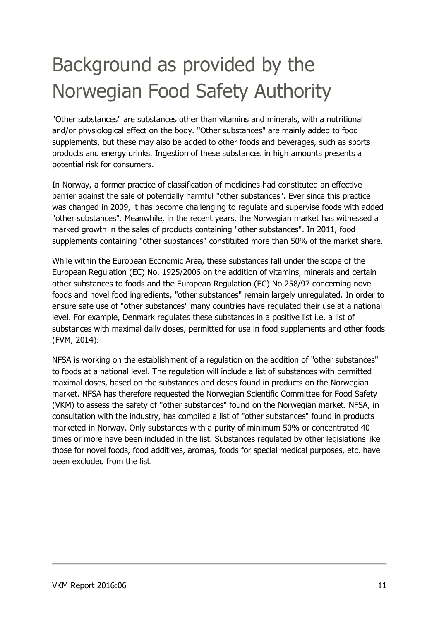## <span id="page-10-0"></span>Background as provided by the Norwegian Food Safety Authority

"Other substances" are substances other than vitamins and minerals, with a nutritional and/or physiological effect on the body. "Other substances" are mainly added to food supplements, but these may also be added to other foods and beverages, such as sports products and energy drinks. Ingestion of these substances in high amounts presents a potential risk for consumers.

In Norway, a former practice of classification of medicines had constituted an effective barrier against the sale of potentially harmful "other substances". Ever since this practice was changed in 2009, it has become challenging to regulate and supervise foods with added "other substances". Meanwhile, in the recent years, the Norwegian market has witnessed a marked growth in the sales of products containing "other substances". In 2011, food supplements containing "other substances" constituted more than 50% of the market share.

While within the European Economic Area, these substances fall under the scope of the European Regulation (EC) No. 1925/2006 on the addition of vitamins, minerals and certain other substances to foods and the European Regulation (EC) No 258/97 concerning novel foods and novel food ingredients, "other substances" remain largely unregulated. In order to ensure safe use of "other substances" many countries have regulated their use at a national level. For example, Denmark regulates these substances in a positive list i.e. a list of substances with maximal daily doses, permitted for use in food supplements and other foods (FVM, 2014).

NFSA is working on the establishment of a regulation on the addition of "other substances" to foods at a national level. The regulation will include a list of substances with permitted maximal doses, based on the substances and doses found in products on the Norwegian market. NFSA has therefore requested the Norwegian Scientific Committee for Food Safety (VKM) to assess the safety of "other substances" found on the Norwegian market. NFSA, in consultation with the industry, has compiled a list of "other substances" found in products marketed in Norway. Only substances with a purity of minimum 50% or concentrated 40 times or more have been included in the list. Substances regulated by other legislations like those for novel foods, food additives, aromas, foods for special medical purposes, etc. have been excluded from the list.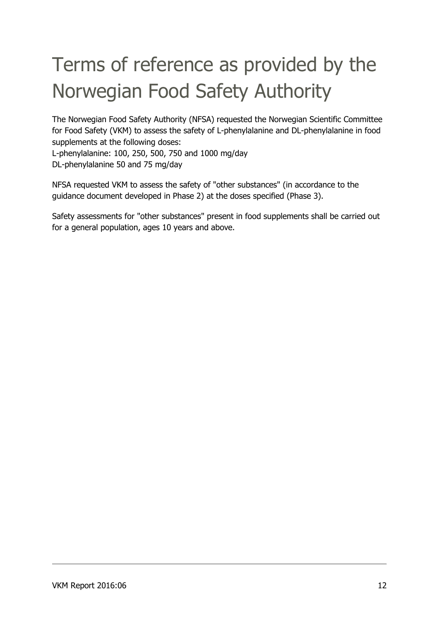## <span id="page-11-0"></span>Terms of reference as provided by the Norwegian Food Safety Authority

The Norwegian Food Safety Authority (NFSA) requested the Norwegian Scientific Committee for Food Safety (VKM) to assess the safety of L-phenylalanine and DL-phenylalanine in food supplements at the following doses:

L-phenylalanine: 100, 250, 500, 750 and 1000 mg/day DL-phenylalanine 50 and 75 mg/day

NFSA requested VKM to assess the safety of "other substances" (in accordance to the guidance document developed in Phase 2) at the doses specified (Phase 3).

Safety assessments for "other substances" present in food supplements shall be carried out for a general population, ages 10 years and above.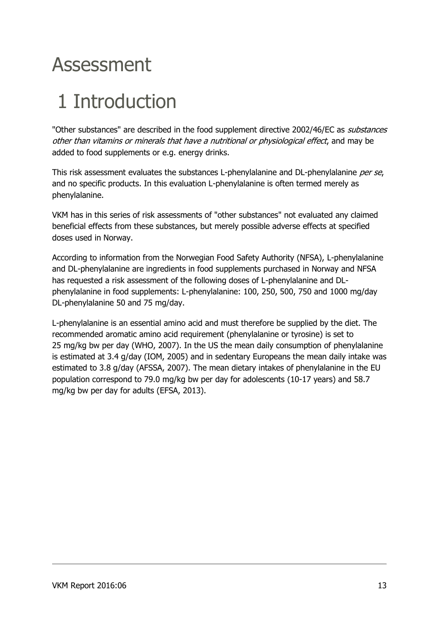## <span id="page-12-0"></span>Assessment

## <span id="page-12-1"></span>1 Introduction

"Other substances" are described in the food supplement directive 2002/46/EC as *substances* other than vitamins or minerals that have a nutritional or physiological effect, and may be added to food supplements or e.g. energy drinks.

This risk assessment evaluates the substances L-phenylalanine and DL-phenylalanine per se, and no specific products. In this evaluation L-phenylalanine is often termed merely as phenylalanine.

VKM has in this series of risk assessments of "other substances" not evaluated any claimed beneficial effects from these substances, but merely possible adverse effects at specified doses used in Norway.

According to information from the Norwegian Food Safety Authority (NFSA), L-phenylalanine and DL-phenylalanine are ingredients in food supplements purchased in Norway and NFSA has requested a risk assessment of the following doses of L-phenylalanine and DLphenylalanine in food supplements: L-phenylalanine: 100, 250, 500, 750 and 1000 mg/day DL-phenylalanine 50 and 75 mg/day.

L-phenylalanine is an essential amino acid and must therefore be supplied by the diet. The recommended aromatic amino acid requirement (phenylalanine or tyrosine) is set to 25 mg/kg bw per day (WHO, 2007). In the US the mean daily consumption of phenylalanine is estimated at 3.4 g/day (IOM, 2005) and in sedentary Europeans the mean daily intake was estimated to 3.8 g/day (AFSSA, 2007). The mean dietary intakes of phenylalanine in the EU population correspond to 79.0 mg/kg bw per day for adolescents (10-17 years) and 58.7 mg/kg bw per day for adults (EFSA, 2013).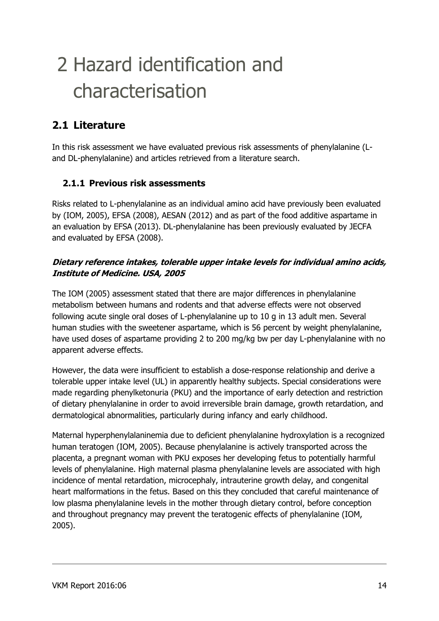## <span id="page-13-0"></span>2 Hazard identification and characterisation

### <span id="page-13-1"></span>**2.1 Literature**

In this risk assessment we have evaluated previous risk assessments of phenylalanine (Land DL-phenylalanine) and articles retrieved from a literature search.

#### <span id="page-13-2"></span>**2.1.1 Previous risk assessments**

Risks related to L-phenylalanine as an individual amino acid have previously been evaluated by (IOM, 2005), EFSA (2008), AESAN (2012) and as part of the food additive aspartame in an evaluation by EFSA (2013). DL-phenylalanine has been previously evaluated by JECFA and evaluated by EFSA (2008).

#### <span id="page-13-3"></span>**Dietary reference intakes, tolerable upper intake levels for individual amino acids, Institute of Medicine. USA, 2005**

The IOM (2005) assessment stated that there are major differences in phenylalanine metabolism between humans and rodents and that adverse effects were not observed following acute single oral doses of L-phenylalanine up to 10 g in 13 adult men. Several human studies with the sweetener aspartame, which is 56 percent by weight phenylalanine, have used doses of aspartame providing 2 to 200 mg/kg bw per day L-phenylalanine with no apparent adverse effects.

However, the data were insufficient to establish a dose-response relationship and derive a tolerable upper intake level (UL) in apparently healthy subjects. Special considerations were made regarding phenylketonuria (PKU) and the importance of early detection and restriction of dietary phenylalanine in order to avoid irreversible brain damage, growth retardation, and dermatological abnormalities, particularly during infancy and early childhood.

Maternal hyperphenylalaninemia due to deficient phenylalanine hydroxylation is a recognized human teratogen (IOM, 2005). Because phenylalanine is actively transported across the placenta, a pregnant woman with PKU exposes her developing fetus to potentially harmful levels of phenylalanine. High maternal plasma phenylalanine levels are associated with high incidence of mental retardation, microcephaly, intrauterine growth delay, and congenital heart malformations in the fetus. Based on this they concluded that careful maintenance of low plasma phenylalanine levels in the mother through dietary control, before conception and throughout pregnancy may prevent the teratogenic effects of phenylalanine (IOM, 2005).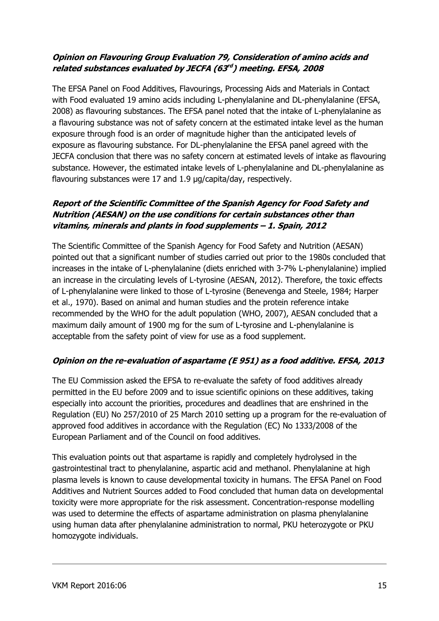#### <span id="page-14-0"></span>**Opinion on Flavouring Group Evaluation 79, Consideration of amino acids and related substances evaluated by JECFA (63 rd ) meeting. EFSA, 2008**

The EFSA Panel on Food Additives, Flavourings, Processing Aids and Materials in Contact with Food evaluated 19 amino acids including L-phenylalanine and DL-phenylalanine (EFSA, 2008) as flavouring substances. The EFSA panel noted that the intake of L-phenylalanine as a flavouring substance was not of safety concern at the estimated intake level as the human exposure through food is an order of magnitude higher than the anticipated levels of exposure as flavouring substance. For DL-phenylalanine the EFSA panel agreed with the JECFA conclusion that there was no safety concern at estimated levels of intake as flavouring substance. However, the estimated intake levels of L-phenylalanine and DL-phenylalanine as flavouring substances were 17 and 1.9 µg/capita/day, respectively.

#### <span id="page-14-1"></span>**Report of the Scientific Committee of the Spanish Agency for Food Safety and Nutrition (AESAN) on the use conditions for certain substances other than vitamins, minerals and plants in food supplements – 1. Spain, 2012**

The Scientific Committee of the Spanish Agency for Food Safety and Nutrition (AESAN) pointed out that a significant number of studies carried out prior to the 1980s concluded that increases in the intake of L-phenylalanine (diets enriched with 3-7% L-phenylalanine) implied an increase in the circulating levels of L-tyrosine (AESAN, 2012). Therefore, the toxic effects of L-phenylalanine were linked to those of L-tyrosine (Benevenga and Steele, 1984; Harper et al., 1970). Based on animal and human studies and the protein reference intake recommended by the WHO for the adult population (WHO, 2007), AESAN concluded that a maximum daily amount of 1900 mg for the sum of L-tyrosine and L-phenylalanine is acceptable from the safety point of view for use as a food supplement.

#### <span id="page-14-2"></span>**Opinion on the re-evaluation of aspartame (E 951) as a food additive. EFSA, 2013**

The EU Commission asked the EFSA to re-evaluate the safety of food additives already permitted in the EU before 2009 and to issue scientific opinions on these additives, taking especially into account the priorities, procedures and deadlines that are enshrined in the Regulation (EU) No 257/2010 of 25 March 2010 setting up a program for the re-evaluation of approved food additives in accordance with the Regulation (EC) No 1333/2008 of the European Parliament and of the Council on food additives.

This evaluation points out that aspartame is rapidly and completely hydrolysed in the gastrointestinal tract to phenylalanine, aspartic acid and methanol. Phenylalanine at high plasma levels is known to cause developmental toxicity in humans. The EFSA Panel on Food Additives and Nutrient Sources added to Food concluded that human data on developmental toxicity were more appropriate for the risk assessment. Concentration-response modelling was used to determine the effects of aspartame administration on plasma phenylalanine using human data after phenylalanine administration to normal, PKU heterozygote or PKU homozygote individuals.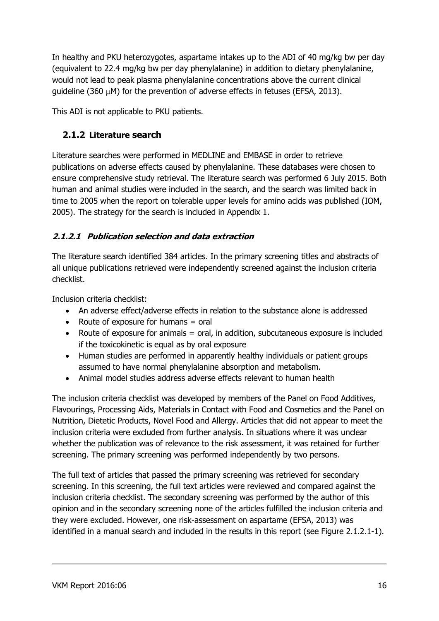In healthy and PKU heterozygotes, aspartame intakes up to the ADI of 40 mg/kg bw per day (equivalent to 22.4 mg/kg bw per day phenylalanine) in addition to dietary phenylalanine, would not lead to peak plasma phenylalanine concentrations above the current clinical guideline (360  $\mu$ M) for the prevention of adverse effects in fetuses (EFSA, 2013).

<span id="page-15-0"></span>This ADI is not applicable to PKU patients.

#### **2.1.2 Literature search**

Literature searches were performed in MEDLINE and EMBASE in order to retrieve publications on adverse effects caused by phenylalanine. These databases were chosen to ensure comprehensive study retrieval. The literature search was performed 6 July 2015. Both human and animal studies were included in the search, and the search was limited back in time to 2005 when the report on tolerable upper levels for amino acids was published (IOM, 2005). The strategy for the search is included in Appendix 1.

#### <span id="page-15-1"></span>**2.1.2.1 Publication selection and data extraction**

The literature search identified 384 articles. In the primary screening titles and abstracts of all unique publications retrieved were independently screened against the inclusion criteria checklist.

Inclusion criteria checklist:

- An adverse effect/adverse effects in relation to the substance alone is addressed
- Route of exposure for humans  $=$  oral
- Route of exposure for animals = oral, in addition, subcutaneous exposure is included if the toxicokinetic is equal as by oral exposure
- Human studies are performed in apparently healthy individuals or patient groups assumed to have normal phenylalanine absorption and metabolism.
- Animal model studies address adverse effects relevant to human health

The inclusion criteria checklist was developed by members of the Panel on Food Additives, Flavourings, Processing Aids, Materials in Contact with Food and Cosmetics and the Panel on Nutrition, Dietetic Products, Novel Food and Allergy. Articles that did not appear to meet the inclusion criteria were excluded from further analysis. In situations where it was unclear whether the publication was of relevance to the risk assessment, it was retained for further screening. The primary screening was performed independently by two persons.

The full text of articles that passed the primary screening was retrieved for secondary screening. In this screening, the full text articles were reviewed and compared against the inclusion criteria checklist. The secondary screening was performed by the author of this opinion and in the secondary screening none of the articles fulfilled the inclusion criteria and they were excluded. However, one risk-assessment on aspartame (EFSA, 2013) was identified in a manual search and included in the results in this report (see Figure 2.1.2.1-1).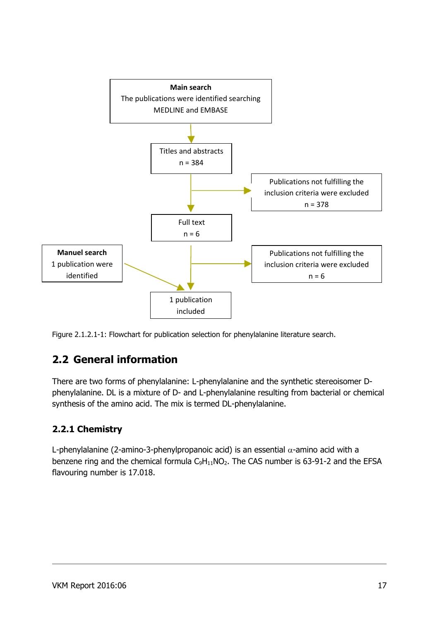

Figure 2.1.2.1-1: Flowchart for publication selection for phenylalanine literature search.

### <span id="page-16-0"></span>**2.2 General information**

There are two forms of phenylalanine: L-phenylalanine and the synthetic stereoisomer Dphenylalanine. DL is a mixture of D- and L-phenylalanine resulting from bacterial or chemical synthesis of the amino acid. The mix is termed DL-phenylalanine.

#### <span id="page-16-1"></span>**2.2.1 Chemistry**

L-phenylalanine (2-amino-3-phenylpropanoic acid) is an essential  $\alpha$ -amino acid with a benzene ring and the chemical formula  $C_9H_{11}NO_2$ . The CAS number is 63-91-2 and the EFSA flavouring number is 17.018.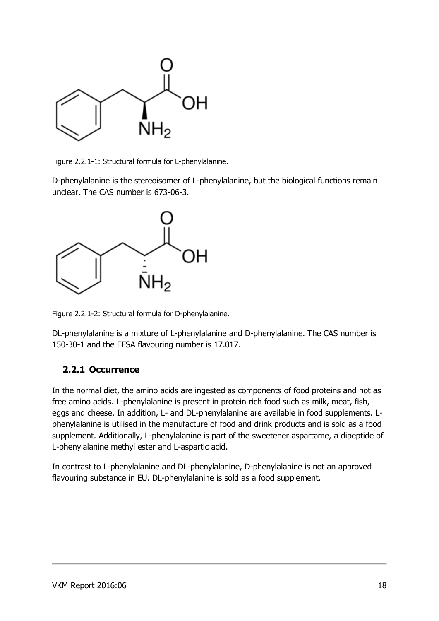

Figure 2.2.1-1: Structural formula for L-phenylalanine.

D-phenylalanine is the stereoisomer of L-phenylalanine, but the biological functions remain unclear. The CAS number is 673-06-3.



Figure 2.2.1-2: Structural formula for D-phenylalanine.

DL-phenylalanine is a mixture of L-phenylalanine and D-phenylalanine. The CAS number is 150-30-1 and the EFSA flavouring number is 17.017.

#### <span id="page-17-0"></span>**2.2.1 Occurrence**

In the normal diet, the amino acids are ingested as components of food proteins and not as free amino acids. L-phenylalanine is present in protein rich food such as milk, meat, fish, eggs and cheese. In addition, L- and DL-phenylalanine are available in food supplements. Lphenylalanine is utilised in the manufacture of food and drink products and is sold as a food supplement. Additionally, L-phenylalanine is part of the sweetener aspartame, a dipeptide of L-phenylalanine methyl ester and L-aspartic acid.

In contrast to L-phenylalanine and DL-phenylalanine, D-phenylalanine is not an approved flavouring substance in EU. DL-phenylalanine is sold as a food supplement.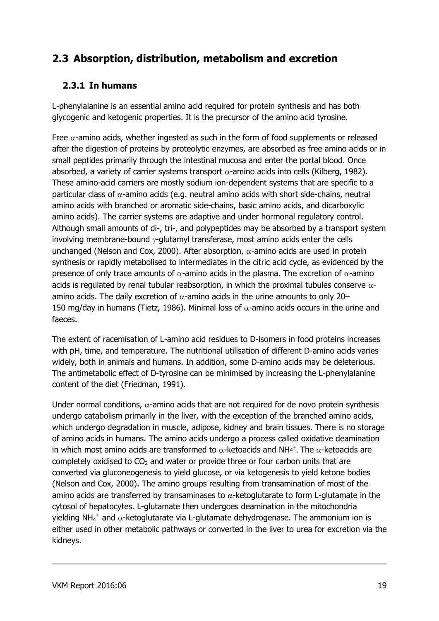### <span id="page-18-1"></span><span id="page-18-0"></span>**2.3 Absorption, distribution, metabolism and excretion**

#### **2.3.1 In humans**

L-phenylalanine is an essential amino acid required for protein synthesis and has both glycogenic and ketogenic properties. It is the precursor of the amino acid tyrosine.

Free  $\alpha$ -amino acids, whether ingested as such in the form of food supplements or released after the digestion of proteins by proteolytic enzymes, are absorbed as free amino acids or in small peptides primarily through the intestinal mucosa and enter the portal blood. Once absorbed, a variety of carrier systems transport  $\alpha$ -amino acids into cells (Kilberg, 1982). These amino-acid carriers are mostly sodium ion-dependent systems that are specific to a particular class of  $\alpha$ -amino acids (e.g. neutral amino acids with short side-chains, neutral amino acids with branched or aromatic side-chains, basic amino acids, and dicarboxylic amino acids). The carrier systems are adaptive and under hormonal regulatory control. Although small amounts of di-, tri-, and polypeptides may be absorbed by a transport system involving membrane-bound  $\gamma$ -glutamyl transferase, most amino acids enter the cells unchanged (Nelson and Cox, 2000). After absorption,  $\alpha$ -amino acids are used in protein synthesis or rapidly metabolised to intermediates in the citric acid cycle, as evidenced by the presence of only trace amounts of  $\alpha$ -amino acids in the plasma. The excretion of  $\alpha$ -amino acids is regulated by renal tubular reabsorption, in which the proximal tubules conserve  $\alpha$ amino acids. The daily excretion of  $\alpha$ -amino acids in the urine amounts to only 20– 150 mg/day in humans (Tietz, 1986). Minimal loss of  $\alpha$ -amino acids occurs in the urine and faeces.

The extent of racemisation of L-amino acid residues to D-isomers in food proteins increases with pH, time, and temperature. The nutritional utilisation of different D-amino acids varies widely, both in animals and humans. In addition, some D-amino acids may be deleterious. The antimetabolic effect of D-tyrosine can be minimised by increasing the L-phenylalanine content of the diet (Friedman, 1991).

Under normal conditions,  $\alpha$ -amino acids that are not required for de novo protein synthesis undergo catabolism primarily in the liver, with the exception of the branched amino acids, which undergo degradation in muscle, adipose, kidney and brain tissues. There is no storage of amino acids in humans. The amino acids undergo a process called oxidative deamination in which most amino acids are transformed to  $\alpha$ -ketoacids and NH4<sup>+</sup>. The  $\alpha$ -ketoacids are completely oxidised to  $CO<sub>2</sub>$  and water or provide three or four carbon units that are converted via gluconeogenesis to yield glucose, or via ketogenesis to yield ketone bodies (Nelson and Cox, 2000). The amino groups resulting from transamination of most of the amino acids are transferred by transaminases to  $\alpha$ -ketoglutarate to form L-glutamate in the cytosol of hepatocytes. L-glutamate then undergoes deamination in the mitochondria yielding NH<sub>4</sub><sup>+</sup> and  $\alpha$ -ketoglutarate via L-glutamate dehydrogenase. The ammonium ion is either used in other metabolic pathways or converted in the liver to urea for excretion via the kidneys.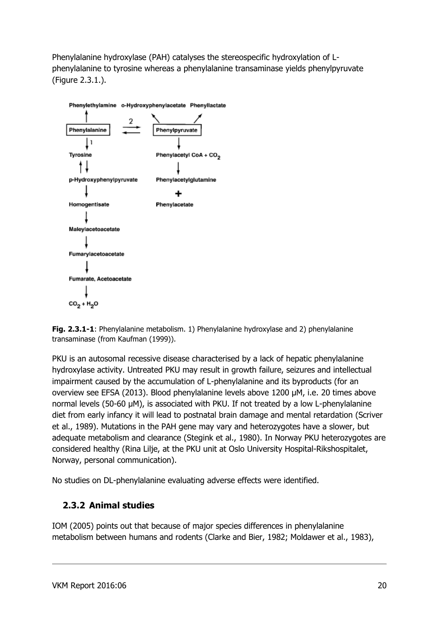Phenylalanine hydroxylase (PAH) catalyses the stereospecific hydroxylation of Lphenylalanine to tyrosine whereas a phenylalanine transaminase yields phenylpyruvate (Figure 2.3.1.).



**Fig. 2.3.1-1**: Phenylalanine metabolism. 1) Phenylalanine hydroxylase and 2) phenylalanine transaminase (from Kaufman (1999)).

PKU is an autosomal recessive disease characterised by a lack of hepatic phenylalanine hydroxylase activity. Untreated PKU may result in growth failure, seizures and intellectual impairment caused by the accumulation of L-phenylalanine and its byproducts (for an overview see EFSA (2013). Blood phenylalanine levels above 1200 µM, i.e. 20 times above normal levels (50-60 µM), is associated with PKU. If not treated by a low L-phenylalanine diet from early infancy it will lead to postnatal brain damage and mental retardation (Scriver et al., 1989). Mutations in the PAH gene may vary and heterozygotes have a slower, but adequate metabolism and clearance (Stegink et al., 1980). In Norway PKU heterozygotes are considered healthy (Rina Lilje, at the PKU unit at Oslo University Hospital-Rikshospitalet, Norway, personal communication).

No studies on DL-phenylalanine evaluating adverse effects were identified.

#### <span id="page-19-0"></span>**2.3.2 Animal studies**

IOM (2005) points out that because of major species differences in phenylalanine metabolism between humans and rodents (Clarke and Bier, 1982; Moldawer et al., 1983),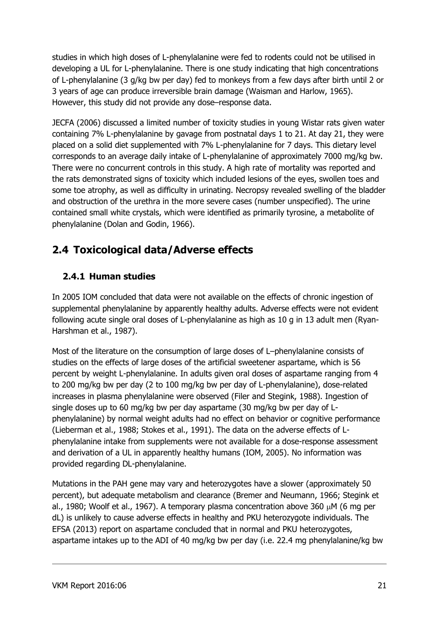studies in which high doses of L-phenylalanine were fed to rodents could not be utilised in developing a UL for L-phenylalanine. There is one study indicating that high concentrations of L-phenylalanine (3 g/kg bw per day) fed to monkeys from a few days after birth until 2 or 3 years of age can produce irreversible brain damage (Waisman and Harlow, 1965). However, this study did not provide any dose–response data.

JECFA (2006) discussed a limited number of toxicity studies in young Wistar rats given water containing 7% L-phenylalanine by gavage from postnatal days 1 to 21. At day 21, they were placed on a solid diet supplemented with 7% L-phenylalanine for 7 days. This dietary level corresponds to an average daily intake of L-phenylalanine of approximately 7000 mg/kg bw. There were no concurrent controls in this study. A high rate of mortality was reported and the rats demonstrated signs of toxicity which included lesions of the eyes, swollen toes and some toe atrophy, as well as difficulty in urinating. Necropsy revealed swelling of the bladder and obstruction of the urethra in the more severe cases (number unspecified). The urine contained small white crystals, which were identified as primarily tyrosine, a metabolite of phenylalanine (Dolan and Godin, 1966).

### <span id="page-20-1"></span><span id="page-20-0"></span>**2.4 Toxicological data/Adverse effects**

#### **2.4.1 Human studies**

In 2005 IOM concluded that data were not available on the effects of chronic ingestion of supplemental phenylalanine by apparently healthy adults. Adverse effects were not evident following acute single oral doses of L-phenylalanine as high as 10 g in 13 adult men (Ryan-Harshman et al., 1987).

Most of the literature on the consumption of large doses of L–phenylalanine consists of studies on the effects of large doses of the artificial sweetener aspartame, which is 56 percent by weight L-phenylalanine. In adults given oral doses of aspartame ranging from 4 to 200 mg/kg bw per day (2 to 100 mg/kg bw per day of L-phenylalanine), dose-related increases in plasma phenylalanine were observed (Filer and Stegink, 1988). Ingestion of single doses up to 60 mg/kg bw per day aspartame (30 mg/kg bw per day of Lphenylalanine) by normal weight adults had no effect on behavior or cognitive performance (Lieberman et al., 1988; Stokes et al., 1991). The data on the adverse effects of Lphenylalanine intake from supplements were not available for a dose-response assessment and derivation of a UL in apparently healthy humans (IOM, 2005). No information was provided regarding DL-phenylalanine.

Mutations in the PAH gene may vary and heterozygotes have a slower (approximately 50 percent), but adequate metabolism and clearance (Bremer and Neumann, 1966; Stegink et al., 1980; Woolf et al., 1967). A temporary plasma concentration above 360  $\mu$ M (6 mg per dL) is unlikely to cause adverse effects in healthy and PKU heterozygote individuals. The EFSA (2013) report on aspartame concluded that in normal and PKU heterozygotes, aspartame intakes up to the ADI of 40 mg/kg bw per day (i.e. 22.4 mg phenylalanine/kg bw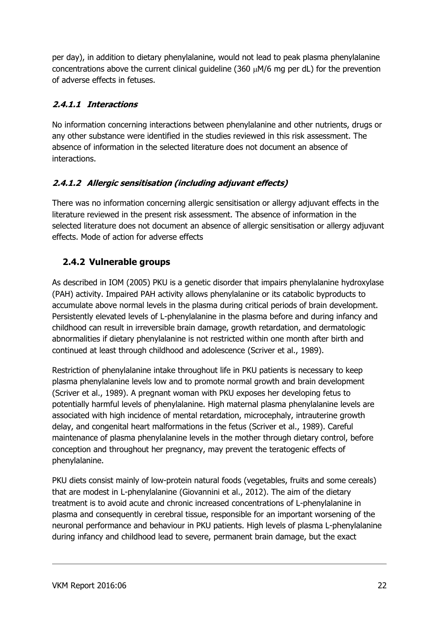per day), in addition to dietary phenylalanine, would not lead to peak plasma phenylalanine concentrations above the current clinical guideline (360  $\mu$ M/6 mg per dL) for the prevention of adverse effects in fetuses.

#### <span id="page-21-0"></span>**2.4.1.1 Interactions**

No information concerning interactions between phenylalanine and other nutrients, drugs or any other substance were identified in the studies reviewed in this risk assessment. The absence of information in the selected literature does not document an absence of interactions.

#### <span id="page-21-1"></span>**2.4.1.2 Allergic sensitisation (including adjuvant effects)**

There was no information concerning allergic sensitisation or allergy adjuvant effects in the literature reviewed in the present risk assessment. The absence of information in the selected literature does not document an absence of allergic sensitisation or allergy adjuvant effects. Mode of action for adverse effects

#### <span id="page-21-2"></span>**2.4.2 Vulnerable groups**

As described in IOM (2005) PKU is a genetic disorder that impairs phenylalanine hydroxylase (PAH) activity. Impaired PAH activity allows phenylalanine or its catabolic byproducts to accumulate above normal levels in the plasma during critical periods of brain development. Persistently elevated levels of L-phenylalanine in the plasma before and during infancy and childhood can result in irreversible brain damage, growth retardation, and dermatologic abnormalities if dietary phenylalanine is not restricted within one month after birth and continued at least through childhood and adolescence (Scriver et al., 1989).

Restriction of phenylalanine intake throughout life in PKU patients is necessary to keep plasma phenylalanine levels low and to promote normal growth and brain development (Scriver et al., 1989). A pregnant woman with PKU exposes her developing fetus to potentially harmful levels of phenylalanine. High maternal plasma phenylalanine levels are associated with high incidence of mental retardation, microcephaly, intrauterine growth delay, and congenital heart malformations in the fetus (Scriver et al., 1989). Careful maintenance of plasma phenylalanine levels in the mother through dietary control, before conception and throughout her pregnancy, may prevent the teratogenic effects of phenylalanine.

PKU diets consist mainly of low-protein natural foods (vegetables, fruits and some cereals) that are modest in L-phenylalanine (Giovannini et al., 2012). The aim of the dietary treatment is to avoid acute and chronic increased concentrations of L-phenylalanine in plasma and consequently in cerebral tissue, responsible for an important worsening of the neuronal performance and behaviour in PKU patients. High levels of plasma L-phenylalanine during infancy and childhood lead to severe, permanent brain damage, but the exact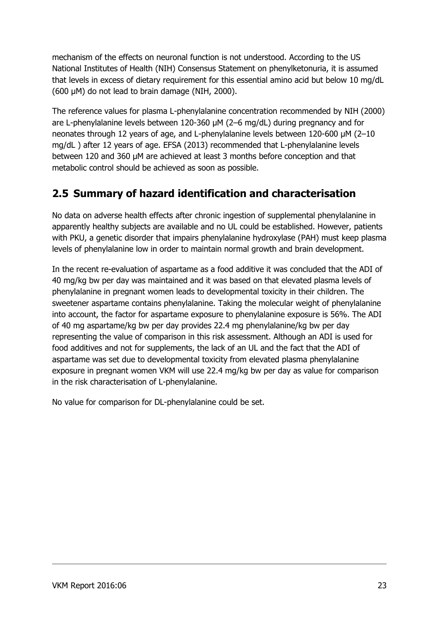mechanism of the effects on neuronal function is not understood. According to the US National Institutes of Health (NIH) Consensus Statement on phenylketonuria, it is assumed that levels in excess of dietary requirement for this essential amino acid but below 10 mg/dL (600 μM) do not lead to brain damage (NIH, 2000).

The reference values for plasma L-phenylalanine concentration recommended by NIH (2000) are L-phenylalanine levels between 120-360 μM (2–6 mg/dL) during pregnancy and for neonates through 12 years of age, and L-phenylalanine levels between 120-600 μM (2–10 mg/dL ) after 12 years of age. EFSA (2013) recommended that L-phenylalanine levels between 120 and 360 μM are achieved at least 3 months before conception and that metabolic control should be achieved as soon as possible.

### <span id="page-22-0"></span>**2.5 Summary of hazard identification and characterisation**

No data on adverse health effects after chronic ingestion of supplemental phenylalanine in apparently healthy subjects are available and no UL could be established. However, patients with PKU, a genetic disorder that impairs phenylalanine hydroxylase (PAH) must keep plasma levels of phenylalanine low in order to maintain normal growth and brain development.

In the recent re-evaluation of aspartame as a food additive it was concluded that the ADI of 40 mg/kg bw per day was maintained and it was based on that elevated plasma levels of phenylalanine in pregnant women leads to developmental toxicity in their children. The sweetener aspartame contains phenylalanine. Taking the molecular weight of phenylalanine into account, the factor for aspartame exposure to phenylalanine exposure is 56%. The ADI of 40 mg aspartame/kg bw per day provides 22.4 mg phenylalanine/kg bw per day representing the value of comparison in this risk assessment. Although an ADI is used for food additives and not for supplements, the lack of an UL and the fact that the ADI of aspartame was set due to developmental toxicity from elevated plasma phenylalanine exposure in pregnant women VKM will use 22.4 mg/kg bw per day as value for comparison in the risk characterisation of L-phenylalanine.

No value for comparison for DL-phenylalanine could be set.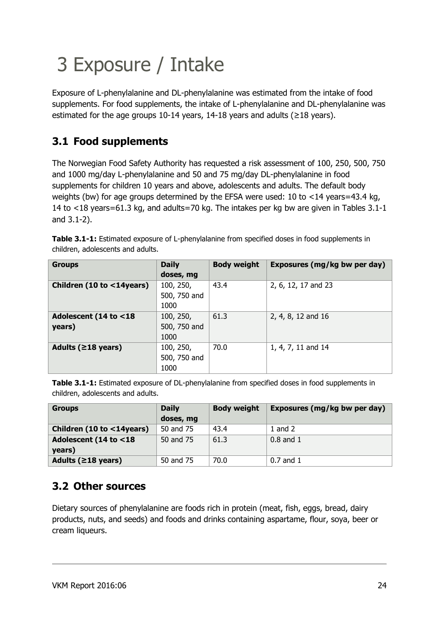# <span id="page-23-0"></span>3 Exposure / Intake

Exposure of L-phenylalanine and DL-phenylalanine was estimated from the intake of food supplements. For food supplements, the intake of L-phenylalanine and DL-phenylalanine was estimated for the age groups 10-14 years, 14-18 years and adults ( $\geq$ 18 years).

### <span id="page-23-1"></span>**3.1 Food supplements**

The Norwegian Food Safety Authority has requested a risk assessment of 100, 250, 500, 750 and 1000 mg/day L-phenylalanine and 50 and 75 mg/day DL-phenylalanine in food supplements for children 10 years and above, adolescents and adults. The default body weights (bw) for age groups determined by the EFSA were used: 10 to <14 years=43.4 kg, 14 to <18 years=61.3 kg, and adults=70 kg. The intakes per kg bw are given in Tables 3.1-1 and 3.1-2).

| <b>Groups</b>                   | <b>Daily</b><br>doses, mg         | <b>Body weight</b> | Exposures (mg/kg bw per day) |
|---------------------------------|-----------------------------------|--------------------|------------------------------|
| Children (10 to <14years)       | 100, 250,<br>500, 750 and<br>1000 | 43.4               | 2, 6, 12, 17 and 23          |
| Adolescent (14 to <18<br>years) | 100, 250,<br>500, 750 and<br>1000 | 61.3               | 2, 4, 8, 12 and 16           |
| Adults ( $\geq$ 18 years)       | 100, 250,<br>500, 750 and<br>1000 | 70.0               | 1, 4, 7, 11 and 14           |

**Table 3.1-1:** Estimated exposure of L-phenylalanine from specified doses in food supplements in children, adolescents and adults.

**Table 3.1-1:** Estimated exposure of DL-phenylalanine from specified doses in food supplements in children, adolescents and adults.

| <b>Groups</b>             | <b>Daily</b><br>doses, mg | <b>Body weight</b> | Exposures (mg/kg bw per day) |
|---------------------------|---------------------------|--------------------|------------------------------|
| Children (10 to <14years) | 50 and 75                 | 43.4               | 1 and $2$                    |
| Adolescent (14 to <18     | 50 and 75                 | 61.3               | $0.8$ and $1$                |
| years)                    |                           |                    |                              |
| Adults ( $\geq$ 18 years) | 50 and 75                 | 70.0               | $0.7$ and $1$                |

### <span id="page-23-2"></span>**3.2 Other sources**

Dietary sources of phenylalanine are foods rich in protein (meat, fish, eggs, bread, dairy products, nuts, and seeds) and foods and drinks containing aspartame, flour, soya, beer or cream liqueurs.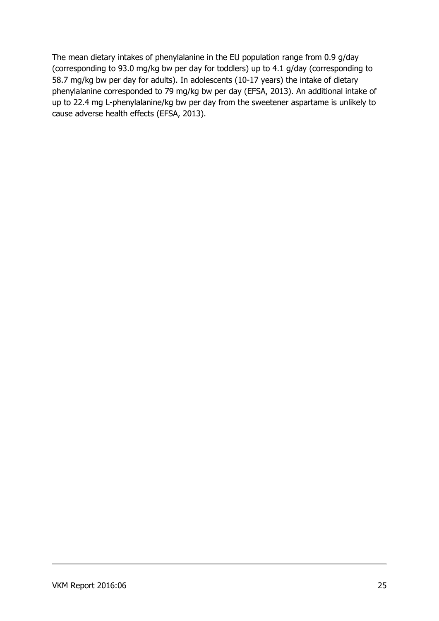The mean dietary intakes of phenylalanine in the EU population range from 0.9 g/day (corresponding to 93.0 mg/kg bw per day for toddlers) up to 4.1 g/day (corresponding to 58.7 mg/kg bw per day for adults). In adolescents (10-17 years) the intake of dietary phenylalanine corresponded to 79 mg/kg bw per day (EFSA, 2013). An additional intake of up to 22.4 mg L-phenylalanine/kg bw per day from the sweetener aspartame is unlikely to cause adverse health effects (EFSA, 2013).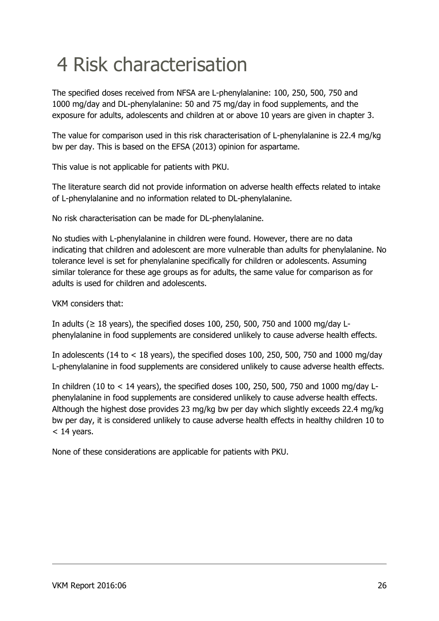## <span id="page-25-0"></span>4 Risk characterisation

The specified doses received from NFSA are L-phenylalanine: 100, 250, 500, 750 and 1000 mg/day and DL-phenylalanine: 50 and 75 mg/day in food supplements, and the exposure for adults, adolescents and children at or above 10 years are given in chapter 3.

The value for comparison used in this risk characterisation of L-phenylalanine is 22.4 mg/kg bw per day. This is based on the EFSA (2013) opinion for aspartame.

This value is not applicable for patients with PKU.

The literature search did not provide information on adverse health effects related to intake of L-phenylalanine and no information related to DL-phenylalanine.

No risk characterisation can be made for DL-phenylalanine.

No studies with L-phenylalanine in children were found. However, there are no data indicating that children and adolescent are more vulnerable than adults for phenylalanine. No tolerance level is set for phenylalanine specifically for children or adolescents. Assuming similar tolerance for these age groups as for adults, the same value for comparison as for adults is used for children and adolescents.

VKM considers that:

In adults ( $\geq$  18 years), the specified doses 100, 250, 500, 750 and 1000 mg/day Lphenylalanine in food supplements are considered unlikely to cause adverse health effects.

In adolescents (14 to < 18 years), the specified doses 100, 250, 500, 750 and 1000 mg/day L-phenylalanine in food supplements are considered unlikely to cause adverse health effects.

In children (10 to < 14 years), the specified doses 100, 250, 500, 750 and 1000 mg/day Lphenylalanine in food supplements are considered unlikely to cause adverse health effects. Although the highest dose provides 23 mg/kg bw per day which slightly exceeds 22.4 mg/kg bw per day, it is considered unlikely to cause adverse health effects in healthy children 10 to  $<$  14 years.

None of these considerations are applicable for patients with PKU.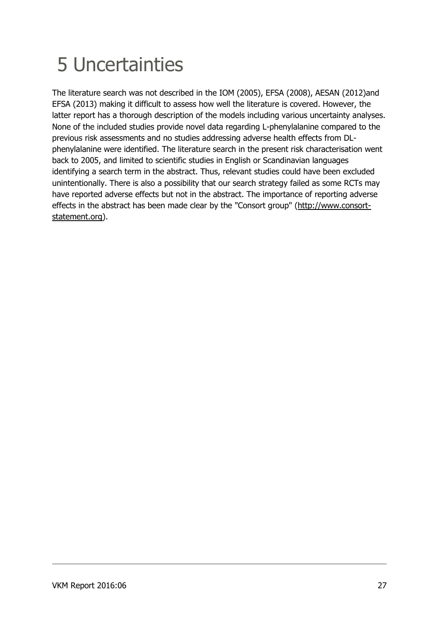## <span id="page-26-0"></span>5 Uncertainties

The literature search was not described in the IOM (2005), EFSA (2008), AESAN (2012)and EFSA (2013) making it difficult to assess how well the literature is covered. However, the latter report has a thorough description of the models including various uncertainty analyses. None of the included studies provide novel data regarding L-phenylalanine compared to the previous risk assessments and no studies addressing adverse health effects from DLphenylalanine were identified. The literature search in the present risk characterisation went back to 2005, and limited to scientific studies in English or Scandinavian languages identifying a search term in the abstract. Thus, relevant studies could have been excluded unintentionally. There is also a possibility that our search strategy failed as some RCTs may have reported adverse effects but not in the abstract. The importance of reporting adverse effects in the abstract has been made clear by the "Consort group" [\(http://www.consort](http://www.consort-statement.org/)[statement.org\)](http://www.consort-statement.org/).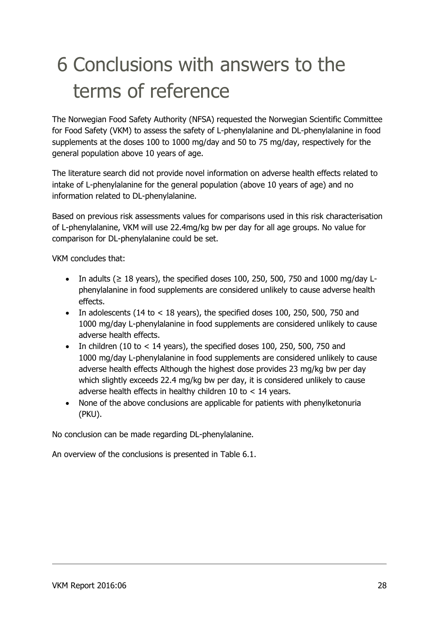## <span id="page-27-0"></span>6 Conclusions with answers to the terms of reference

The Norwegian Food Safety Authority (NFSA) requested the Norwegian Scientific Committee for Food Safety (VKM) to assess the safety of L-phenylalanine and DL-phenylalanine in food supplements at the doses 100 to 1000 mg/day and 50 to 75 mg/day, respectively for the general population above 10 years of age.

The literature search did not provide novel information on adverse health effects related to intake of L-phenylalanine for the general population (above 10 years of age) and no information related to DL-phenylalanine.

Based on previous risk assessments values for comparisons used in this risk characterisation of L-phenylalanine, VKM will use 22.4mg/kg bw per day for all age groups. No value for comparison for DL-phenylalanine could be set.

VKM concludes that:

- In adults ( $\geq$  18 years), the specified doses 100, 250, 500, 750 and 1000 mg/day Lphenylalanine in food supplements are considered unlikely to cause adverse health effects.
- In adolescents (14 to  $<$  18 years), the specified doses 100, 250, 500, 750 and 1000 mg/day L-phenylalanine in food supplements are considered unlikely to cause adverse health effects.
- $\bullet$  In children (10 to < 14 years), the specified doses 100, 250, 500, 750 and 1000 mg/day L-phenylalanine in food supplements are considered unlikely to cause adverse health effects Although the highest dose provides 23 mg/kg bw per day which slightly exceeds 22.4 mg/kg bw per day, it is considered unlikely to cause adverse health effects in healthy children 10 to < 14 years.
- None of the above conclusions are applicable for patients with phenylketonuria (PKU).

No conclusion can be made regarding DL-phenylalanine.

An overview of the conclusions is presented in Table 6.1.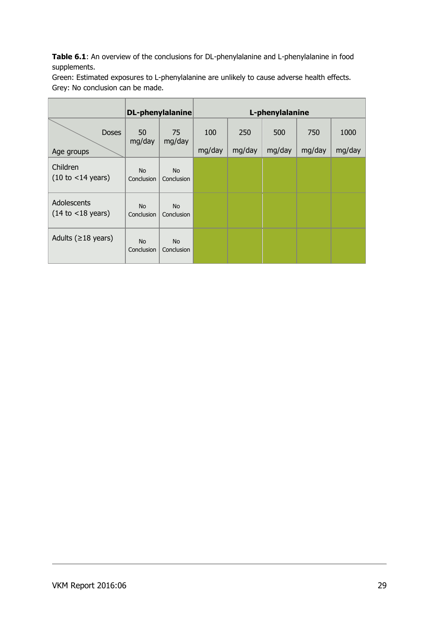Table 6.1: An overview of the conclusions for DL-phenylalanine and L-phenylalanine in food supplements.

Green: Estimated exposures to L-phenylalanine are unlikely to cause adverse health effects. Grey: No conclusion can be made.

|                                                      | <b>DL-phenylalanine</b> |                         | L-phenylalanine |               |               |               |                |
|------------------------------------------------------|-------------------------|-------------------------|-----------------|---------------|---------------|---------------|----------------|
| <b>Doses</b><br>Age groups                           | 50<br>mg/day            | 75<br>mg/day            | 100<br>mg/day   | 250<br>mg/day | 500<br>mg/day | 750<br>mg/day | 1000<br>mg/day |
| Children<br>$(10 \text{ to } < 14 \text{ years})$    | <b>No</b><br>Conclusion | <b>No</b><br>Conclusion |                 |               |               |               |                |
| Adolescents<br>$(14 \text{ to } < 18 \text{ years})$ | <b>No</b><br>Conclusion | <b>No</b><br>Conclusion |                 |               |               |               |                |
| Adults ( $\geq$ 18 years)                            | <b>No</b><br>Conclusion | <b>No</b><br>Conclusion |                 |               |               |               |                |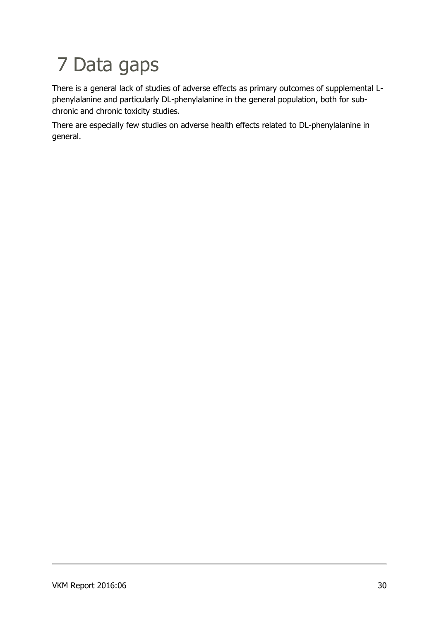## <span id="page-29-0"></span>7 Data gaps

There is a general lack of studies of adverse effects as primary outcomes of supplemental Lphenylalanine and particularly DL-phenylalanine in the general population, both for subchronic and chronic toxicity studies.

There are especially few studies on adverse health effects related to DL-phenylalanine in general.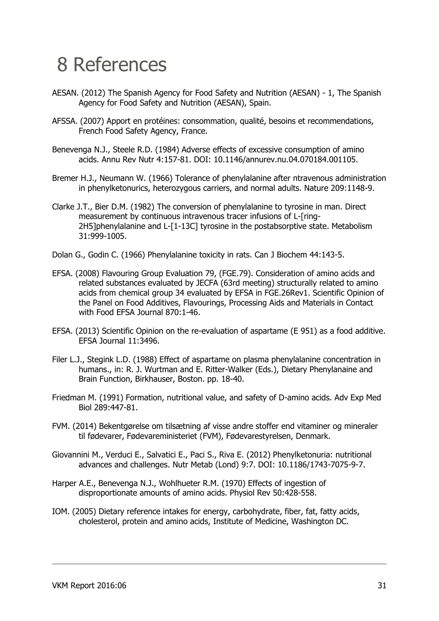### <span id="page-30-0"></span>8 References

- AESAN. (2012) The Spanish Agency for Food Safety and Nutrition (AESAN) 1, The Spanish Agency for Food Safety and Nutrition (AESAN), Spain.
- AFSSA. (2007) Apport en protéines: consommation, qualité, besoins et recommendations, French Food Safety Agency, France.
- Benevenga N.J., Steele R.D. (1984) Adverse effects of excessive consumption of amino acids. Annu Rev Nutr 4:157-81. DOI: 10.1146/annurev.nu.04.070184.001105.
- Bremer H.J., Neumann W. (1966) Tolerance of phenylalanine after ntravenous administration in phenylketonurics, heterozygous carriers, and normal adults. Nature 209:1148-9.
- Clarke J.T., Bier D.M. (1982) The conversion of phenylalanine to tyrosine in man. Direct measurement by continuous intravenous tracer infusions of L-[ring-2H5]phenylalanine and L-[1-13C] tyrosine in the postabsorptive state. Metabolism 31:999-1005.
- Dolan G., Godin C. (1966) Phenylalanine toxicity in rats. Can J Biochem 44:143-5.
- EFSA. (2008) Flavouring Group Evaluation 79, (FGE.79). Consideration of amino acids and related substances evaluated by JECFA (63rd meeting) structurally related to amino acids from chemical group 34 evaluated by EFSA in FGE.26Rev1. Scientific Opinion of the Panel on Food Additives, Flavourings, Processing Aids and Materials in Contact with Food EFSA Journal 870:1-46.
- EFSA. (2013) Scientific Opinion on the re-evaluation of aspartame (E 951) as a food additive. EFSA Journal 11:3496.
- Filer L.J., Stegink L.D. (1988) Effect of aspartame on plasma phenylalanine concentration in humans., in: R. J. Wurtman and E. Ritter-Walker (Eds.), Dietary Phenylanaine and Brain Function, Birkhauser, Boston. pp. 18-40.
- Friedman M. (1991) Formation, nutritional value, and safety of D-amino acids. Adv Exp Med Biol 289:447-81.
- FVM. (2014) Bekentgørelse om tilsætning af visse andre stoffer end vitaminer og mineraler til fødevarer, Fødevareministeriet (FVM), Fødevarestyrelsen, Denmark.
- Giovannini M., Verduci E., Salvatici E., Paci S., Riva E. (2012) Phenylketonuria: nutritional advances and challenges. Nutr Metab (Lond) 9:7. DOI: 10.1186/1743-7075-9-7.
- Harper A.E., Benevenga N.J., Wohlhueter R.M. (1970) Effects of ingestion of disproportionate amounts of amino acids. Physiol Rev 50:428-558.
- IOM. (2005) Dietary reference intakes for energy, carbohydrate, fiber, fat, fatty acids, cholesterol, protein and amino acids, Institute of Medicine, Washington DC.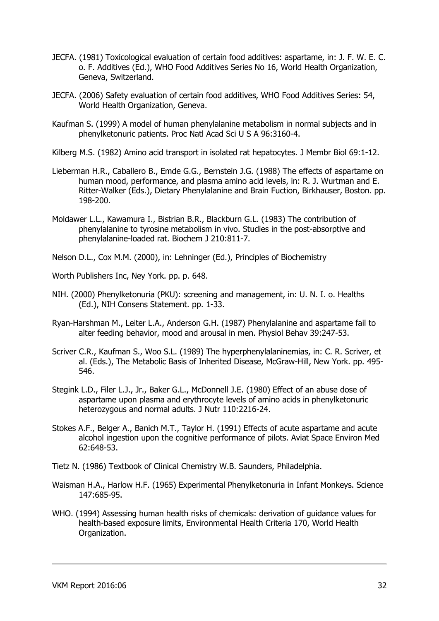- JECFA. (1981) Toxicological evaluation of certain food additives: aspartame, in: J. F. W. E. C. o. F. Additives (Ed.), WHO Food Additives Series No 16, World Health Organization, Geneva, Switzerland.
- JECFA. (2006) Safety evaluation of certain food additives, WHO Food Additives Series: 54, World Health Organization, Geneva.
- Kaufman S. (1999) A model of human phenylalanine metabolism in normal subjects and in phenylketonuric patients. Proc Natl Acad Sci U S A 96:3160-4.
- Kilberg M.S. (1982) Amino acid transport in isolated rat hepatocytes. J Membr Biol 69:1-12.
- Lieberman H.R., Caballero B., Emde G.G., Bernstein J.G. (1988) The effects of aspartame on human mood, performance, and plasma amino acid levels, in: R. J. Wurtman and E. Ritter-Walker (Eds.), Dietary Phenylalanine and Brain Fuction, Birkhauser, Boston. pp. 198-200.
- Moldawer L.L., Kawamura I., Bistrian B.R., Blackburn G.L. (1983) The contribution of phenylalanine to tyrosine metabolism in vivo. Studies in the post-absorptive and phenylalanine-loaded rat. Biochem J 210:811-7.
- Nelson D.L., Cox M.M. (2000), in: Lehninger (Ed.), Principles of Biochemistry
- Worth Publishers Inc, Ney York. pp. p. 648.
- NIH. (2000) Phenylketonuria (PKU): screening and management, in: U. N. I. o. Healths (Ed.), NIH Consens Statement. pp. 1-33.
- Ryan-Harshman M., Leiter L.A., Anderson G.H. (1987) Phenylalanine and aspartame fail to alter feeding behavior, mood and arousal in men. Physiol Behav 39:247-53.
- Scriver C.R., Kaufman S., Woo S.L. (1989) The hyperphenylalaninemias, in: C. R. Scriver, et al. (Eds.), The Metabolic Basis of Inherited Disease, McGraw-Hill, New York. pp. 495- 546.
- Stegink L.D., Filer L.J., Jr., Baker G.L., McDonnell J.E. (1980) Effect of an abuse dose of aspartame upon plasma and erythrocyte levels of amino acids in phenylketonuric heterozygous and normal adults. J Nutr 110:2216-24.
- Stokes A.F., Belger A., Banich M.T., Taylor H. (1991) Effects of acute aspartame and acute alcohol ingestion upon the cognitive performance of pilots. Aviat Space Environ Med 62:648-53.
- Tietz N. (1986) Textbook of Clinical Chemistry W.B. Saunders, Philadelphia.
- Waisman H.A., Harlow H.F. (1965) Experimental Phenylketonuria in Infant Monkeys. Science 147:685-95.
- WHO. (1994) Assessing human health risks of chemicals: derivation of guidance values for health-based exposure limits, Environmental Health Criteria 170, World Health Organization.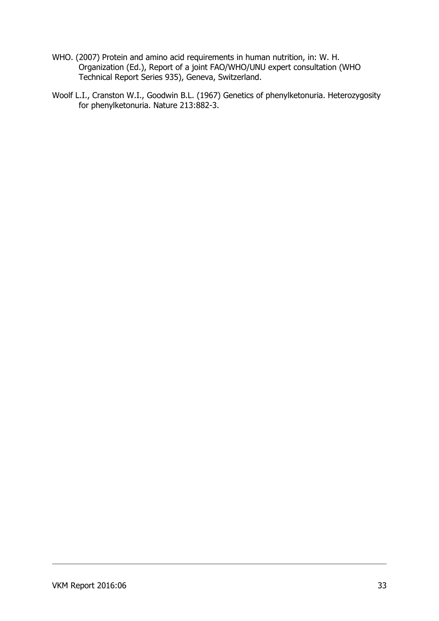- WHO. (2007) Protein and amino acid requirements in human nutrition, in: W. H. Organization (Ed.), Report of a joint FAO/WHO/UNU expert consultation (WHO Technical Report Series 935), Geneva, Switzerland.
- Woolf L.I., Cranston W.I., Goodwin B.L. (1967) Genetics of phenylketonuria. Heterozygosity for phenylketonuria. Nature 213:882-3.